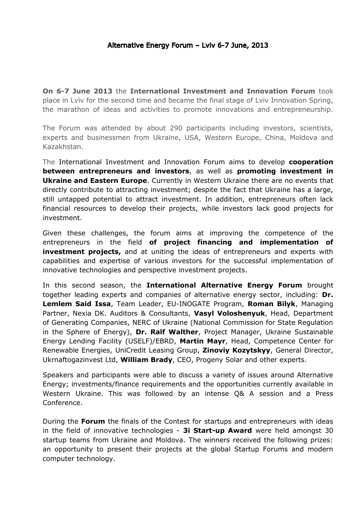**On 6-7 June 2013** the **International Investment and Innovation Forum** took place in Lviv for the second time and became the final stage of Lviv Innovation Spring, the marathon of ideas and activities to promote innovations and entrepreneurship.

The Forum was attended by about 290 participants including investors, scientists, experts and businessmen from Ukraine, USA, Western Europe, China, Moldova and Kazakhstan.

The International Investment and Innovation Forum aims to develop **cooperation between entrepreneurs and investors**, as well as **promoting investment in Ukraine and Eastern Europe**. Currently in Western Ukraine there are no events that directly contribute to attracting investment; despite the fact that Ukraine has a large, still untapped potential to attract investment. In addition, entrepreneurs often lack financial resources to develop their projects, while investors lack good projects for investment.

Given these challenges, the forum aims at improving the competence of the entrepreneurs in the field **of project financing and implementation of investment projects,** and at uniting the ideas of entrepreneurs and experts with capabilities and expertise of various investors for the successful implementation of innovative technologies and perspective investment projects.

In this second season, the **International Alternative Energy Forum** brought together leading experts and companies of alternative energy sector, including: **Dr. Lemlem Said Issa**, Team Leader, EU-INOGATE Program, **Roman Bilyk**, Managing Partner, Nexia DK. Auditors & Consultants, **Vasyl Voloshenyuk**, Head, Department of Generating Companies, NERC of Ukraine (National Commission for State Regulation in the Sphere of Energy), **Dr. Ralf Walther**, Project Manager, Ukraine Sustainable Energy Lending Facility (USELF)/EBRD, **Martin Mayr**, Head, Competence Center for Renewable Energies, UniCredit Leasing Group, **Zinoviy Kozytskyy**, General Director, Ukrnaftogazinvest Ltd, **William Brady**, CEO, Progeny Solar and other experts.

Speakers and participants were able to discuss a variety of issues around Alternative Energy; investments/finance requirements and the opportunities currently available in Western Ukraine. This was followed by an intense Q& A session and a Press Conference.

During the **Forum** the finals of the Contest for startups and entrepreneurs with ideas in the field of innovative technologies - **3i Start-up Award** were held amongst 30 startup teams from Ukraine and Moldova. The winners received the following prizes: an opportunity to present their projects at the global Startup Forums and modern computer technology.